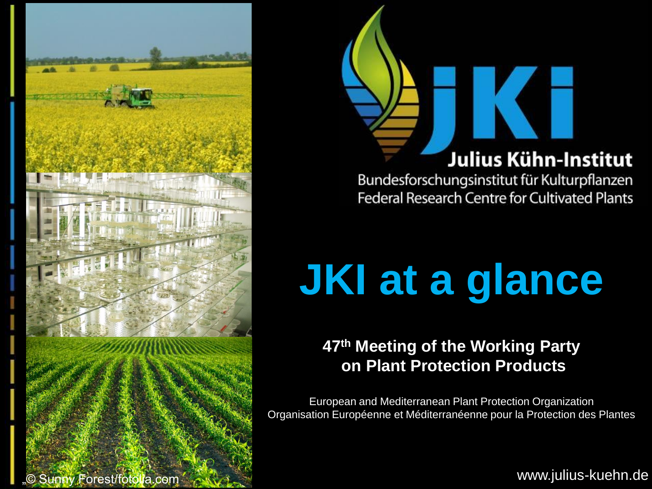

# Julius Kühn-Institut

Bundesforschungsinstitut für Kulturpflanzen Federal Research Centre for Cultivated Plants

# **JKI at a glance**

**47th Meeting of the Working Party on Plant Protection Products**

European and Mediterranean Plant Protection Organization Organisation Européenne et Méditerranéenne pour la Protection des Plantes

www.julius-kuehn.de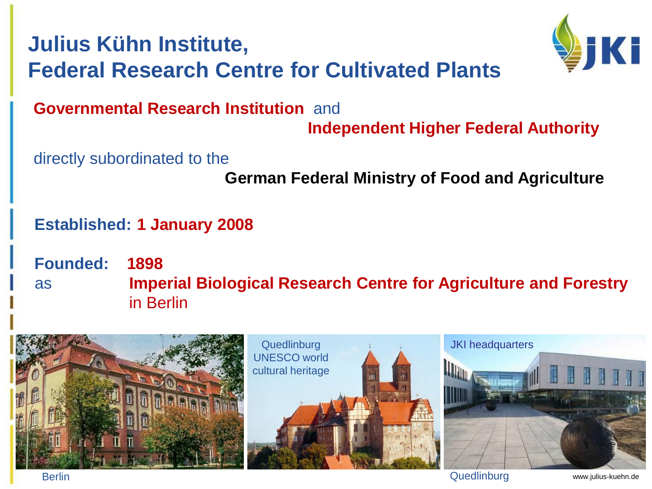# **Julius Kühn Institute, Federal Research Centre for Cultivated Plants**



#### **Governmental Research Institution** and

**Independent Higher Federal Authority**

directly subordinated to the

**German Federal Ministry of Food and Agriculture**

#### **Established: 1 January 2008**

**Founded: 1898** as **Imperial Biological Research Centre for Agriculture and Forestry** in Berlin



Berlin Quedlinburg and the contract of the contract of the contract of the contract of the contract of the contract of the contract of the contract of the contract of the contract of the contract of the contract of the con

www.julius-kuehn.de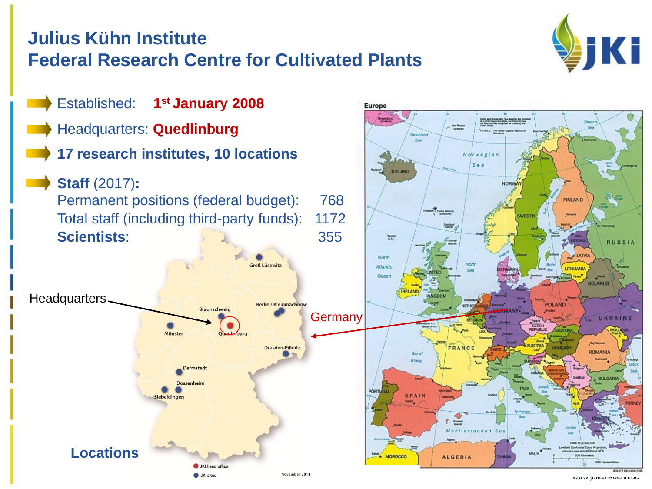#### **Julius Kühn Institute Federal Research Centre for Cultivated Plants**



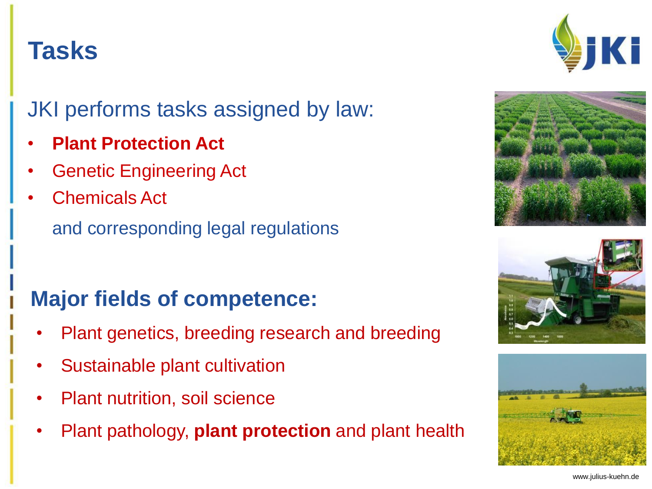#### www.julius-kuehn.de

#### **Tasks**

JKI performs tasks assigned by law:

- **Plant Protection Act**
- Genetic Engineering Act
- Chemicals Act

and corresponding legal regulations

## **Major fields of competence:**

- Plant genetics, breeding research and breeding
- Sustainable plant cultivation
- Plant nutrition, soil science
- Plant pathology, **plant protection** and plant health







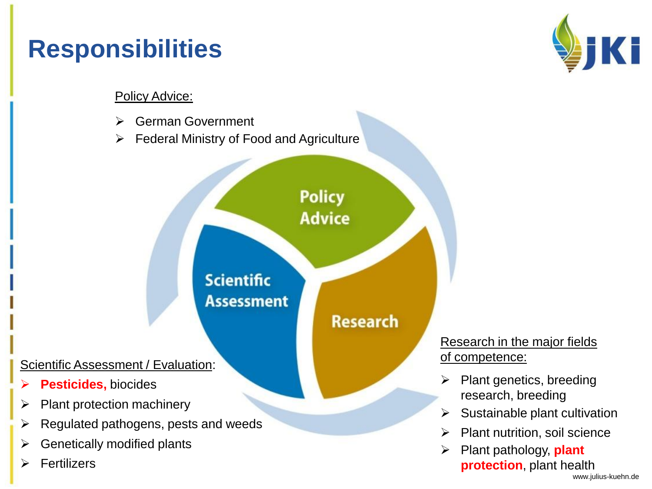# **Responsibilities**



#### Policy Advice:

- **► German Government**
- $\triangleright$  Federal Ministry of Food and Agriculture

**Policy Advice** 

**Research** 

**Scientific Assessment** 

#### Scientific Assessment / Evaluation:

- **Pesticides,** biocides
- $\triangleright$  Plant protection machinery
- $\triangleright$  Regulated pathogens, pests and weeds
- Genetically modified plants
- $\triangleright$  Fertilizers

#### Research in the major fields of competence:

- $\triangleright$  Plant genetics, breeding research, breeding
- $\triangleright$  Sustainable plant cultivation
- $\triangleright$  Plant nutrition, soil science
- Plant pathology, **plant protection**, plant health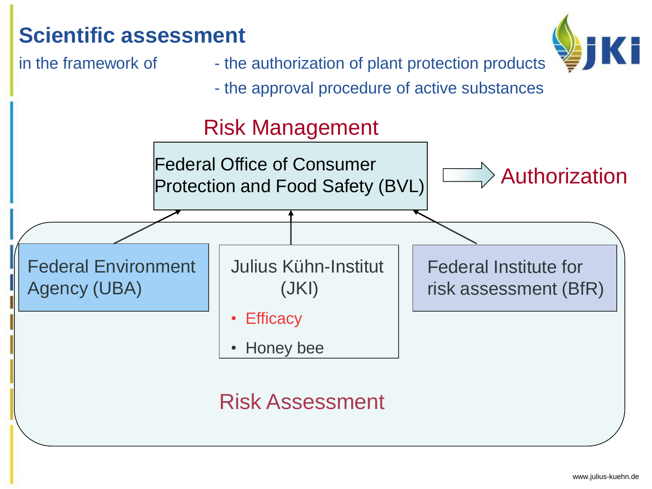# **Scientific assessment**



- in the framework of the authorization of plant protection products
	- the approval procedure of active substances

## Risk Management